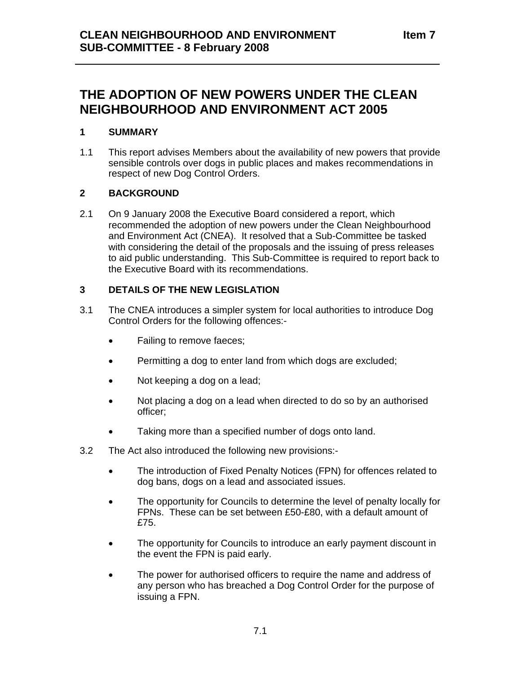# **THE ADOPTION OF NEW POWERS UNDER THE CLEAN NEIGHBOURHOOD AND ENVIRONMENT ACT 2005**

# **1 SUMMARY**

1.1 This report advises Members about the availability of new powers that provide sensible controls over dogs in public places and makes recommendations in respect of new Dog Control Orders.

# **2 BACKGROUND**

2.1 On 9 January 2008 the Executive Board considered a report, which recommended the adoption of new powers under the Clean Neighbourhood and Environment Act (CNEA). It resolved that a Sub-Committee be tasked with considering the detail of the proposals and the issuing of press releases to aid public understanding. This Sub-Committee is required to report back to the Executive Board with its recommendations.

# **3 DETAILS OF THE NEW LEGISLATION**

- 3.1 The CNEA introduces a simpler system for local authorities to introduce Dog Control Orders for the following offences:-
	- Failing to remove faeces;
	- Permitting a dog to enter land from which dogs are excluded;
	- Not keeping a dog on a lead;
	- Not placing a dog on a lead when directed to do so by an authorised officer;
	- Taking more than a specified number of dogs onto land.
- 3.2 The Act also introduced the following new provisions:-
	- The introduction of Fixed Penalty Notices (FPN) for offences related to dog bans, dogs on a lead and associated issues.
	- The opportunity for Councils to determine the level of penalty locally for FPNs. These can be set between £50-£80, with a default amount of £75.
	- The opportunity for Councils to introduce an early payment discount in the event the FPN is paid early.
	- The power for authorised officers to require the name and address of any person who has breached a Dog Control Order for the purpose of issuing a FPN.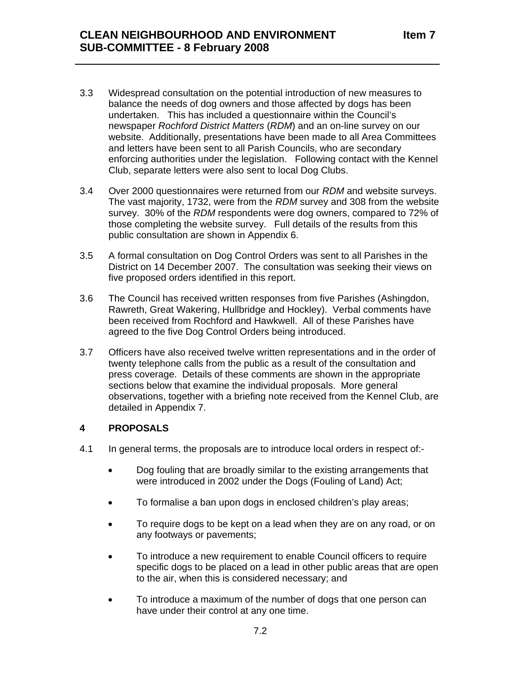- 3.3 Widespread consultation on the potential introduction of new measures to balance the needs of dog owners and those affected by dogs has been undertaken. This has included a questionnaire within the Council's newspaper *Rochford District Matters* (*RDM*) and an on-line survey on our website. Additionally, presentations have been made to all Area Committees and letters have been sent to all Parish Councils, who are secondary enforcing authorities under the legislation. Following contact with the Kennel Club, separate letters were also sent to local Dog Clubs.
- 3.4 Over 2000 questionnaires were returned from our *RDM* and website surveys. The vast majority, 1732, were from the *RDM* survey and 308 from the website survey. 30% of the *RDM* respondents were dog owners, compared to 72% of those completing the website survey. Full details of the results from this public consultation are shown in Appendix 6.
- 3.5 A formal consultation on Dog Control Orders was sent to all Parishes in the District on 14 December 2007. The consultation was seeking their views on five proposed orders identified in this report.
- 3.6 The Council has received written responses from five Parishes (Ashingdon, Rawreth, Great Wakering, Hullbridge and Hockley). Verbal comments have been received from Rochford and Hawkwell. All of these Parishes have agreed to the five Dog Control Orders being introduced.
- 3.7 Officers have also received twelve written representations and in the order of twenty telephone calls from the public as a result of the consultation and press coverage. Details of these comments are shown in the appropriate sections below that examine the individual proposals. More general observations, together with a briefing note received from the Kennel Club, are detailed in Appendix 7.

# **4 PROPOSALS**

- 4.1 In general terms, the proposals are to introduce local orders in respect of:-
	- Dog fouling that are broadly similar to the existing arrangements that were introduced in 2002 under the Dogs (Fouling of Land) Act;
	- To formalise a ban upon dogs in enclosed children's play areas;
	- To require dogs to be kept on a lead when they are on any road, or on any footways or pavements;
	- To introduce a new requirement to enable Council officers to require specific dogs to be placed on a lead in other public areas that are open to the air, when this is considered necessary; and
	- To introduce a maximum of the number of dogs that one person can have under their control at any one time.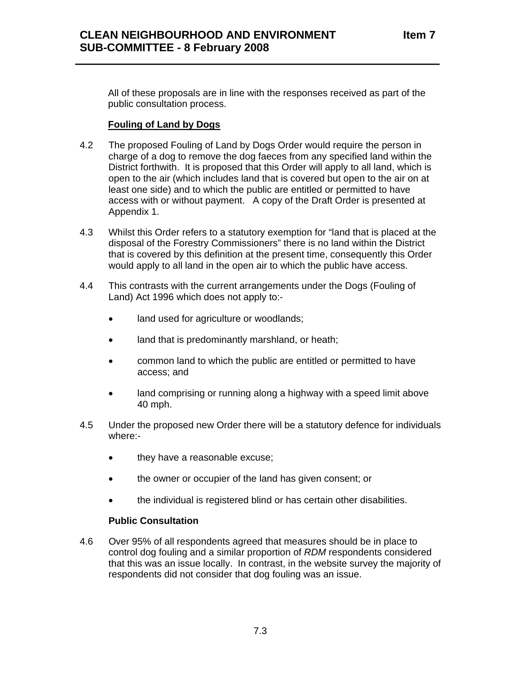All of these proposals are in line with the responses received as part of the public consultation process.

# **Fouling of Land by Dogs**

- 4.2 The proposed Fouling of Land by Dogs Order would require the person in charge of a dog to remove the dog faeces from any specified land within the District forthwith. It is proposed that this Order will apply to all land, which is open to the air (which includes land that is covered but open to the air on at least one side) and to which the public are entitled or permitted to have access with or without payment. A copy of the Draft Order is presented at Appendix 1.
- 4.3 Whilst this Order refers to a statutory exemption for "land that is placed at the disposal of the Forestry Commissioners" there is no land within the District that is covered by this definition at the present time, consequently this Order would apply to all land in the open air to which the public have access.
- 4.4 This contrasts with the current arrangements under the Dogs (Fouling of Land) Act 1996 which does not apply to:
	- land used for agriculture or woodlands;
	- land that is predominantly marshland, or heath;
	- common land to which the public are entitled or permitted to have access; and
	- land comprising or running along a highway with a speed limit above 40 mph.
- 4.5 Under the proposed new Order there will be a statutory defence for individuals where:-
	- they have a reasonable excuse;
	- the owner or occupier of the land has given consent; or
	- the individual is registered blind or has certain other disabilities.

# **Public Consultation**

4.6 Over 95% of all respondents agreed that measures should be in place to control dog fouling and a similar proportion of *RDM* respondents considered that this was an issue locally. In contrast, in the website survey the majority of respondents did not consider that dog fouling was an issue.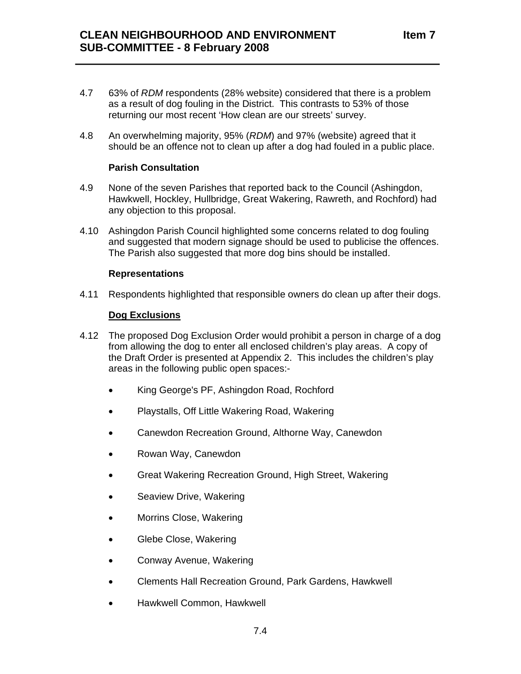- 4.7 63% of *RDM* respondents (28% website) considered that there is a problem as a result of dog fouling in the District. This contrasts to 53% of those returning our most recent 'How clean are our streets' survey.
- 4.8 An overwhelming majority, 95% (*RDM*) and 97% (website) agreed that it should be an offence not to clean up after a dog had fouled in a public place.

## **Parish Consultation**

- 4.9 None of the seven Parishes that reported back to the Council (Ashingdon, Hawkwell, Hockley, Hullbridge, Great Wakering, Rawreth, and Rochford) had any objection to this proposal.
- 4.10 Ashingdon Parish Council highlighted some concerns related to dog fouling and suggested that modern signage should be used to publicise the offences. The Parish also suggested that more dog bins should be installed.

## **Representations**

4.11 Respondents highlighted that responsible owners do clean up after their dogs.

## **Dog Exclusions**

- 4.12 The proposed Dog Exclusion Order would prohibit a person in charge of a dog from allowing the dog to enter all enclosed children's play areas. A copy of the Draft Order is presented at Appendix 2. This includes the children's play areas in the following public open spaces:-
	- King George's PF, Ashingdon Road, Rochford
	- Playstalls, Off Little Wakering Road, Wakering
	- Canewdon Recreation Ground, Althorne Way, Canewdon
	- Rowan Way, Canewdon
	- Great Wakering Recreation Ground, High Street, Wakering
	- Seaview Drive, Wakering
	- Morrins Close, Wakering
	- Glebe Close, Wakering
	- Conway Avenue, Wakering
	- Clements Hall Recreation Ground, Park Gardens, Hawkwell
	- Hawkwell Common, Hawkwell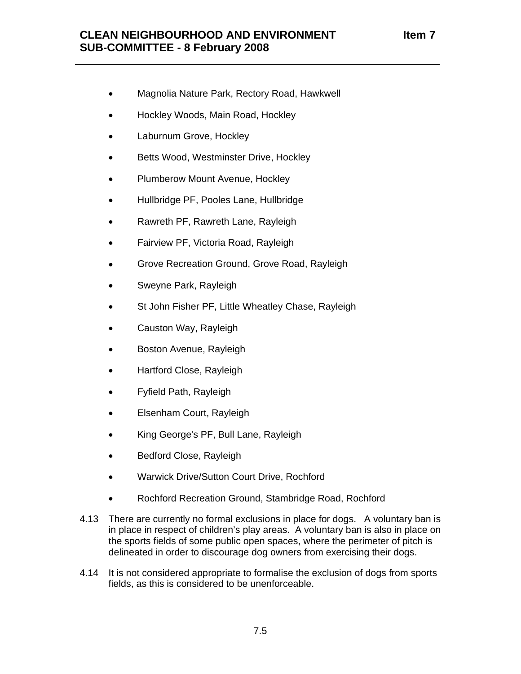- Magnolia Nature Park, Rectory Road, Hawkwell
- Hockley Woods, Main Road, Hockley
- Laburnum Grove, Hockley
- Betts Wood, Westminster Drive, Hockley
- Plumberow Mount Avenue, Hockley
- Hullbridge PF, Pooles Lane, Hullbridge
- Rawreth PF, Rawreth Lane, Rayleigh
- Fairview PF, Victoria Road, Rayleigh
- Grove Recreation Ground, Grove Road, Rayleigh
- Sweyne Park, Rayleigh
- St John Fisher PF, Little Wheatley Chase, Rayleigh
- Causton Way, Rayleigh
- Boston Avenue, Rayleigh
- Hartford Close, Rayleigh
- Fyfield Path, Rayleigh
- Elsenham Court, Rayleigh
- King George's PF, Bull Lane, Rayleigh
- Bedford Close, Rayleigh
- Warwick Drive/Sutton Court Drive, Rochford
- Rochford Recreation Ground, Stambridge Road, Rochford
- 4.13 There are currently no formal exclusions in place for dogs. A voluntary ban is in place in respect of children's play areas. A voluntary ban is also in place on the sports fields of some public open spaces, where the perimeter of pitch is delineated in order to discourage dog owners from exercising their dogs.
- 4.14 It is not considered appropriate to formalise the exclusion of dogs from sports fields, as this is considered to be unenforceable.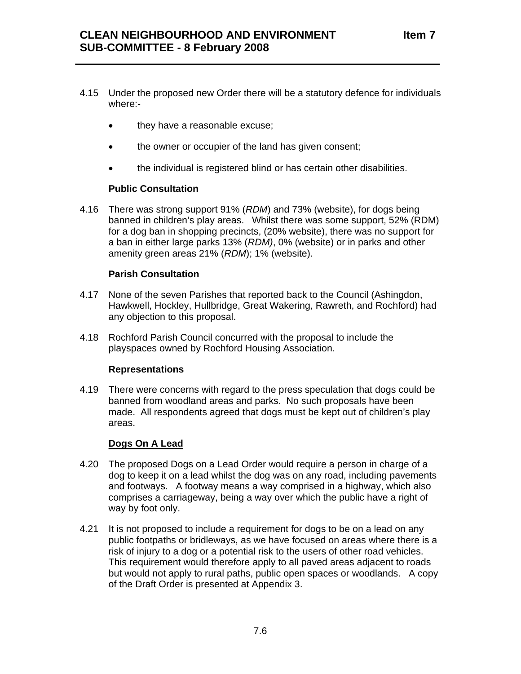- 4.15 Under the proposed new Order there will be a statutory defence for individuals where:-
	- they have a reasonable excuse;
	- the owner or occupier of the land has given consent;
	- the individual is registered blind or has certain other disabilities.

# **Public Consultation**

4.16 There was strong support 91% (*RDM*) and 73% (website), for dogs being banned in children's play areas. Whilst there was some support, 52% (RDM) for a dog ban in shopping precincts, (20% website), there was no support for a ban in either large parks 13% (*RDM)*, 0% (website) or in parks and other amenity green areas 21% (*RDM*); 1% (website).

# **Parish Consultation**

- 4.17 None of the seven Parishes that reported back to the Council (Ashingdon, Hawkwell, Hockley, Hullbridge, Great Wakering, Rawreth, and Rochford) had any objection to this proposal.
- 4.18 Rochford Parish Council concurred with the proposal to include the playspaces owned by Rochford Housing Association.

#### **Representations**

4.19 There were concerns with regard to the press speculation that dogs could be banned from woodland areas and parks. No such proposals have been made. All respondents agreed that dogs must be kept out of children's play areas.

# **Dogs On A Lead**

- 4.20 The proposed Dogs on a Lead Order would require a person in charge of a dog to keep it on a lead whilst the dog was on any road, including pavements and footways. A footway means a way comprised in a highway, which also comprises a carriageway, being a way over which the public have a right of way by foot only.
- 4.21 It is not proposed to include a requirement for dogs to be on a lead on any public footpaths or bridleways, as we have focused on areas where there is a risk of injury to a dog or a potential risk to the users of other road vehicles. This requirement would therefore apply to all paved areas adjacent to roads but would not apply to rural paths, public open spaces or woodlands. A copy of the Draft Order is presented at Appendix 3.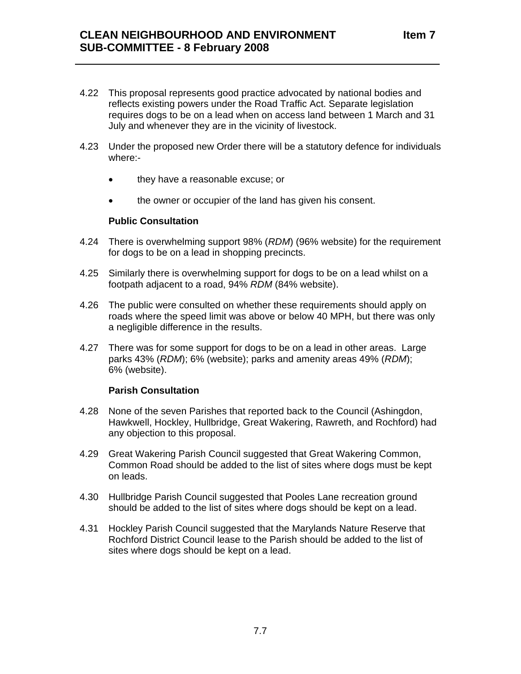- 4.22 This proposal represents good practice advocated by national bodies and reflects existing powers under the Road Traffic Act. Separate legislation requires dogs to be on a lead when on access land between 1 March and 31 July and whenever they are in the vicinity of livestock.
- 4.23 Under the proposed new Order there will be a statutory defence for individuals where:-
	- they have a reasonable excuse; or
	- the owner or occupier of the land has given his consent.

## **Public Consultation**

- 4.24 There is overwhelming support 98% (*RDM*) (96% website) for the requirement for dogs to be on a lead in shopping precincts.
- 4.25 Similarly there is overwhelming support for dogs to be on a lead whilst on a footpath adjacent to a road, 94% *RDM* (84% website).
- 4.26 The public were consulted on whether these requirements should apply on roads where the speed limit was above or below 40 MPH, but there was only a negligible difference in the results.
- 4.27 There was for some support for dogs to be on a lead in other areas. Large parks 43% (*RDM*); 6% (website); parks and amenity areas 49% (*RDM*); 6% (website).

# **Parish Consultation**

- 4.28 None of the seven Parishes that reported back to the Council (Ashingdon, Hawkwell, Hockley, Hullbridge, Great Wakering, Rawreth, and Rochford) had any objection to this proposal.
- 4.29 Great Wakering Parish Council suggested that Great Wakering Common, Common Road should be added to the list of sites where dogs must be kept on leads.
- 4.30 Hullbridge Parish Council suggested that Pooles Lane recreation ground should be added to the list of sites where dogs should be kept on a lead.
- 4.31 Hockley Parish Council suggested that the Marylands Nature Reserve that Rochford District Council lease to the Parish should be added to the list of sites where dogs should be kept on a lead.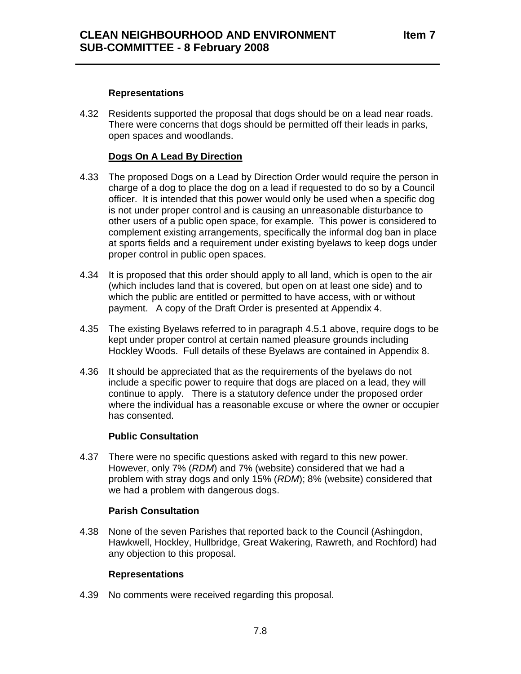# **Representations**

4.32 Residents supported the proposal that dogs should be on a lead near roads. There were concerns that dogs should be permitted off their leads in parks, open spaces and woodlands.

## **Dogs On A Lead By Direction**

- 4.33 The proposed Dogs on a Lead by Direction Order would require the person in charge of a dog to place the dog on a lead if requested to do so by a Council officer. It is intended that this power would only be used when a specific dog is not under proper control and is causing an unreasonable disturbance to other users of a public open space, for example. This power is considered to complement existing arrangements, specifically the informal dog ban in place at sports fields and a requirement under existing byelaws to keep dogs under proper control in public open spaces.
- 4.34 It is proposed that this order should apply to all land, which is open to the air (which includes land that is covered, but open on at least one side) and to which the public are entitled or permitted to have access, with or without payment. A copy of the Draft Order is presented at Appendix 4.
- 4.35 The existing Byelaws referred to in paragraph 4.5.1 above, require dogs to be kept under proper control at certain named pleasure grounds including Hockley Woods. Full details of these Byelaws are contained in Appendix 8.
- 4.36 It should be appreciated that as the requirements of the byelaws do not include a specific power to require that dogs are placed on a lead, they will continue to apply. There is a statutory defence under the proposed order where the individual has a reasonable excuse or where the owner or occupier has consented.

#### **Public Consultation**

4.37 There were no specific questions asked with regard to this new power. However, only 7% (*RDM*) and 7% (website) considered that we had a problem with stray dogs and only 15% (*RDM*); 8% (website) considered that we had a problem with dangerous dogs.

#### **Parish Consultation**

4.38 None of the seven Parishes that reported back to the Council (Ashingdon, Hawkwell, Hockley, Hullbridge, Great Wakering, Rawreth, and Rochford) had any objection to this proposal.

# **Representations**

4.39 No comments were received regarding this proposal.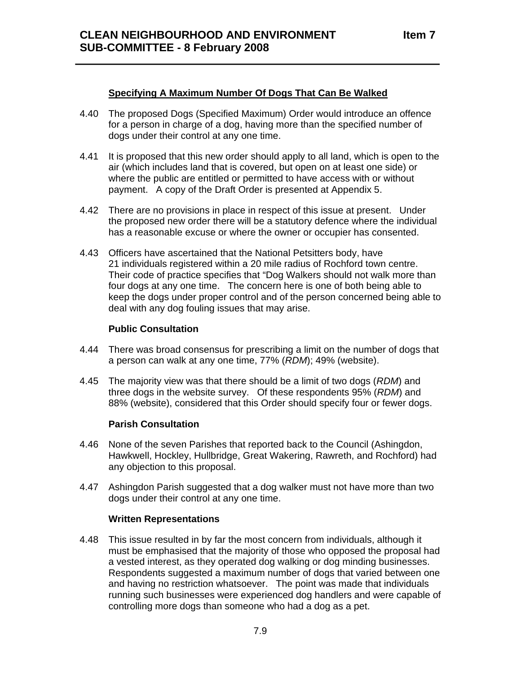#### **Specifying A Maximum Number Of Dogs That Can Be Walked**

- 4.40 The proposed Dogs (Specified Maximum) Order would introduce an offence for a person in charge of a dog, having more than the specified number of dogs under their control at any one time.
- 4.41 It is proposed that this new order should apply to all land, which is open to the air (which includes land that is covered, but open on at least one side) or where the public are entitled or permitted to have access with or without payment. A copy of the Draft Order is presented at Appendix 5.
- 4.42 There are no provisions in place in respect of this issue at present. Under the proposed new order there will be a statutory defence where the individual has a reasonable excuse or where the owner or occupier has consented.
- 4.43 Officers have ascertained that the National Petsitters body, have 21 individuals registered within a 20 mile radius of Rochford town centre. Their code of practice specifies that "Dog Walkers should not walk more than four dogs at any one time. The concern here is one of both being able to keep the dogs under proper control and of the person concerned being able to deal with any dog fouling issues that may arise.

#### **Public Consultation**

- 4.44 There was broad consensus for prescribing a limit on the number of dogs that a person can walk at any one time, 77% (*RDM*); 49% (website).
- 4.45 The majority view was that there should be a limit of two dogs (*RDM*) and three dogs in the website survey. Of these respondents 95% (*RDM*) and 88% (website), considered that this Order should specify four or fewer dogs.

#### **Parish Consultation**

- 4.46 None of the seven Parishes that reported back to the Council (Ashingdon, Hawkwell, Hockley, Hullbridge, Great Wakering, Rawreth, and Rochford) had any objection to this proposal.
- 4.47 Ashingdon Parish suggested that a dog walker must not have more than two dogs under their control at any one time.

#### **Written Representations**

4.48 This issue resulted in by far the most concern from individuals, although it must be emphasised that the majority of those who opposed the proposal had a vested interest, as they operated dog walking or dog minding businesses. Respondents suggested a maximum number of dogs that varied between one and having no restriction whatsoever. The point was made that individuals running such businesses were experienced dog handlers and were capable of controlling more dogs than someone who had a dog as a pet.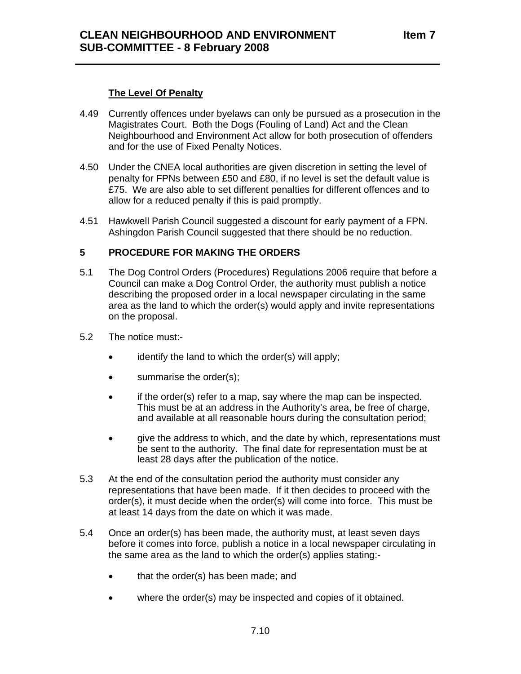# **The Level Of Penalty**

- 4.49 Currently offences under byelaws can only be pursued as a prosecution in the Magistrates Court. Both the Dogs (Fouling of Land) Act and the Clean Neighbourhood and Environment Act allow for both prosecution of offenders and for the use of Fixed Penalty Notices.
- 4.50 Under the CNEA local authorities are given discretion in setting the level of penalty for FPNs between £50 and £80, if no level is set the default value is £75. We are also able to set different penalties for different offences and to allow for a reduced penalty if this is paid promptly.
- 4.51 Hawkwell Parish Council suggested a discount for early payment of a FPN. Ashingdon Parish Council suggested that there should be no reduction.

# **5 PROCEDURE FOR MAKING THE ORDERS**

- 5.1 The Dog Control Orders (Procedures) Regulations 2006 require that before a Council can make a Dog Control Order, the authority must publish a notice describing the proposed order in a local newspaper circulating in the same area as the land to which the order(s) would apply and invite representations on the proposal.
- 5.2 The notice must:
	- identify the land to which the order(s) will apply;
	- summarise the order(s);
	- if the order(s) refer to a map, say where the map can be inspected. This must be at an address in the Authority's area, be free of charge, and available at all reasonable hours during the consultation period;
	- give the address to which, and the date by which, representations must be sent to the authority. The final date for representation must be at least 28 days after the publication of the notice.
- 5.3 At the end of the consultation period the authority must consider any representations that have been made. If it then decides to proceed with the order(s), it must decide when the order(s) will come into force. This must be at least 14 days from the date on which it was made.
- 5.4 Once an order(s) has been made, the authority must, at least seven days before it comes into force, publish a notice in a local newspaper circulating in the same area as the land to which the order(s) applies stating:-
	- that the order(s) has been made; and
	- where the order(s) may be inspected and copies of it obtained.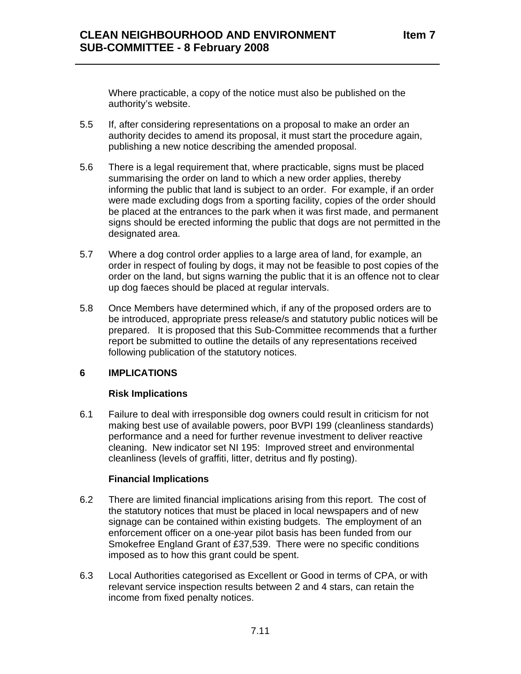Where practicable, a copy of the notice must also be published on the authority's website.

- 5.5 If, after considering representations on a proposal to make an order an authority decides to amend its proposal, it must start the procedure again, publishing a new notice describing the amended proposal.
- 5.6 There is a legal requirement that, where practicable, signs must be placed summarising the order on land to which a new order applies, thereby informing the public that land is subject to an order. For example, if an order were made excluding dogs from a sporting facility, copies of the order should be placed at the entrances to the park when it was first made, and permanent signs should be erected informing the public that dogs are not permitted in the designated area.
- 5.7 Where a dog control order applies to a large area of land, for example, an order in respect of fouling by dogs, it may not be feasible to post copies of the order on the land, but signs warning the public that it is an offence not to clear up dog faeces should be placed at regular intervals.
- 5.8 Once Members have determined which, if any of the proposed orders are to be introduced, appropriate press release/s and statutory public notices will be prepared. It is proposed that this Sub-Committee recommends that a further report be submitted to outline the details of any representations received following publication of the statutory notices.

# **6 IMPLICATIONS**

# **Risk Implications**

6.1 Failure to deal with irresponsible dog owners could result in criticism for not making best use of available powers, poor BVPI 199 (cleanliness standards) performance and a need for further revenue investment to deliver reactive cleaning. New indicator set NI 195: Improved street and environmental cleanliness (levels of graffiti, litter, detritus and fly posting).

# **Financial Implications**

- 6.2 There are limited financial implications arising from this report. The cost of the statutory notices that must be placed in local newspapers and of new signage can be contained within existing budgets. The employment of an enforcement officer on a one-year pilot basis has been funded from our Smokefree England Grant of £37,539. There were no specific conditions imposed as to how this grant could be spent.
- 6.3 Local Authorities categorised as Excellent or Good in terms of CPA, or with relevant service inspection results between 2 and 4 stars, can retain the income from fixed penalty notices.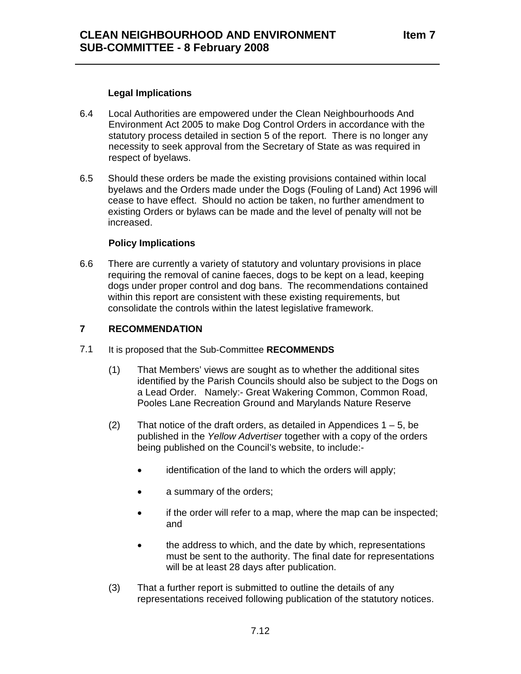## **Legal Implications**

- 6.4 Local Authorities are empowered under the Clean Neighbourhoods And Environment Act 2005 to make Dog Control Orders in accordance with the statutory process detailed in section 5 of the report. There is no longer any necessity to seek approval from the Secretary of State as was required in respect of byelaws.
- 6.5 Should these orders be made the existing provisions contained within local byelaws and the Orders made under the Dogs (Fouling of Land) Act 1996 will cease to have effect. Should no action be taken, no further amendment to existing Orders or bylaws can be made and the level of penalty will not be increased.

#### **Policy Implications**

6.6 There are currently a variety of statutory and voluntary provisions in place requiring the removal of canine faeces, dogs to be kept on a lead, keeping dogs under proper control and dog bans. The recommendations contained within this report are consistent with these existing requirements, but consolidate the controls within the latest legislative framework.

# **7 RECOMMENDATION**

- 7.1 It is proposed that the Sub-Committee **RECOMMENDS** 
	- (1) That Members' views are sought as to whether the additional sites identified by the Parish Councils should also be subject to the Dogs on a Lead Order. Namely:- Great Wakering Common, Common Road, Pooles Lane Recreation Ground and Marylands Nature Reserve
	- (2) That notice of the draft orders, as detailed in Appendices  $1 5$ , be published in the *Yellow Advertiser* together with a copy of the orders being published on the Council's website, to include:
		- identification of the land to which the orders will apply;
		- a summary of the orders;
		- if the order will refer to a map, where the map can be inspected; and
		- the address to which, and the date by which, representations must be sent to the authority. The final date for representations will be at least 28 days after publication.
	- (3) That a further report is submitted to outline the details of any representations received following publication of the statutory notices.